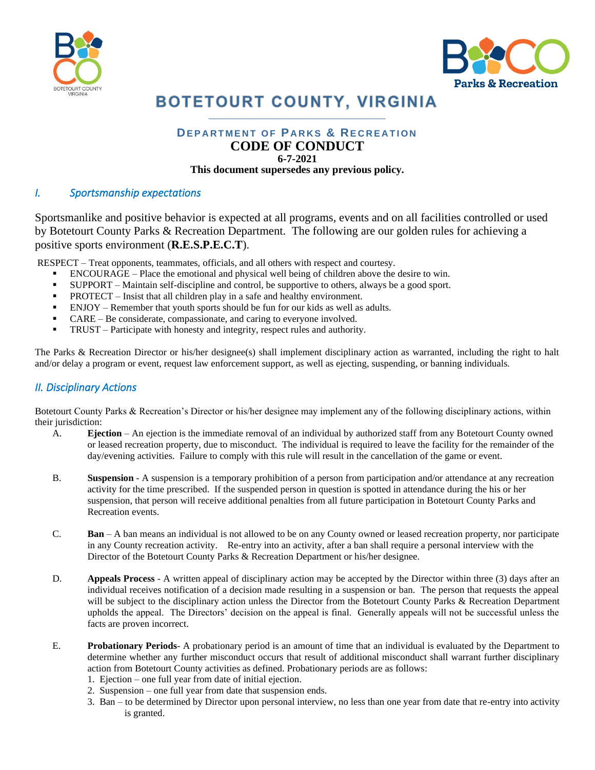



# **BOTETOURT COUNTY, VIRGINIA**  $\mathcal{L}_\mathcal{L}$  and the set of the set of the set of the set of the set of the set of the set of the set of the set of the set of the set of the set of the set of the set of the set of the set of the set of the set of the

### **DEPARTMENT OF PARKS & RECREATION CODE OF CONDUCT 6-7-2021 This document supersedes any previous policy.**

### *I. Sportsmanship expectations*

Sportsmanlike and positive behavior is expected at all programs, events and on all facilities controlled or used by Botetourt County Parks & Recreation Department. The following are our golden rules for achieving a positive sports environment (**R.E.S.P.E.C.T**).

RESPECT – Treat opponents, teammates, officials, and all others with respect and courtesy.

- ENCOURAGE Place the emotional and physical well being of children above the desire to win.
- SUPPORT Maintain self-discipline and control, be supportive to others, always be a good sport.
- PROTECT Insist that all children play in a safe and healthy environment.
- ENJOY Remember that youth sports should be fun for our kids as well as adults.
- CARE Be considerate, compassionate, and caring to everyone involved.
- **•** TRUST Participate with honesty and integrity, respect rules and authority.

The Parks & Recreation Director or his/her designee(s) shall implement disciplinary action as warranted, including the right to halt and/or delay a program or event, request law enforcement support, as well as ejecting, suspending, or banning individuals.

## *II. Disciplinary Actions*

Botetourt County Parks & Recreation's Director or his/her designee may implement any of the following disciplinary actions, within their jurisdiction:

- A. **Ejection** An ejection is the immediate removal of an individual by authorized staff from any Botetourt County owned or leased recreation property, due to misconduct. The individual is required to leave the facility for the remainder of the day/evening activities. Failure to comply with this rule will result in the cancellation of the game or event.
- B. **Suspension**  A suspension is a temporary prohibition of a person from participation and/or attendance at any recreation activity for the time prescribed. If the suspended person in question is spotted in attendance during the his or her suspension, that person will receive additional penalties from all future participation in Botetourt County Parks and Recreation events.
- C. **Ban**  A ban means an individual is not allowed to be on any County owned or leased recreation property, nor participate in any County recreation activity. Re-entry into an activity, after a ban shall require a personal interview with the Director of the Botetourt County Parks & Recreation Department or his/her designee.
- D. **Appeals Process**  A written appeal of disciplinary action may be accepted by the Director within three (3) days after an individual receives notification of a decision made resulting in a suspension or ban. The person that requests the appeal will be subject to the disciplinary action unless the Director from the Botetourt County Parks & Recreation Department upholds the appeal. The Directors' decision on the appeal is final. Generally appeals will not be successful unless the facts are proven incorrect.
- E. **Probationary Periods** A probationary period is an amount of time that an individual is evaluated by the Department to determine whether any further misconduct occurs that result of additional misconduct shall warrant further disciplinary action from Botetourt County activities as defined. Probationary periods are as follows:
	- 1. Ejection one full year from date of initial ejection.
	- 2. Suspension one full year from date that suspension ends.
	- 3. Ban to be determined by Director upon personal interview, no less than one year from date that re-entry into activity is granted.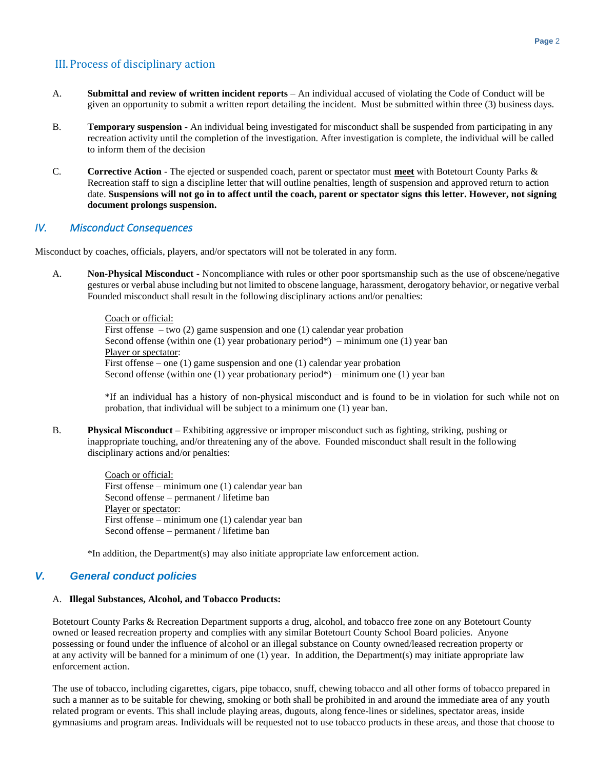### III.Process of disciplinary action

- A. **Submittal and review of written incident reports** An individual accused of violating the Code of Conduct will be given an opportunity to submit a written report detailing the incident. Must be submitted within three (3) business days.
- B. **Temporary suspension** An individual being investigated for misconduct shall be suspended from participating in any recreation activity until the completion of the investigation. After investigation is complete, the individual will be called to inform them of the decision
- C. **Corrective Action** The ejected or suspended coach, parent or spectator must **meet** with Botetourt County Parks & Recreation staff to sign a discipline letter that will outline penalties, length of suspension and approved return to action date. **Suspensions will not go in to affect until the coach, parent or spectator signs this letter. However, not signing document prolongs suspension.**

#### *IV. Misconduct Consequences*

Misconduct by coaches, officials, players, and/or spectators will not be tolerated in any form.

A. **Non-Physical Misconduct -** Noncompliance with rules or other poor sportsmanship such as the use of obscene/negative gestures or verbal abuse including but not limited to obscene language, harassment, derogatory behavior, or negative verbal Founded misconduct shall result in the following disciplinary actions and/or penalties:

> Coach or official: First offense – two  $(2)$  game suspension and one  $(1)$  calendar year probation Second offense (within one (1) year probationary period\*) – minimum one (1) year ban Player or spectator: First offense – one (1) game suspension and one (1) calendar year probation Second offense (within one (1) year probationary period\*) – minimum one (1) year ban

\*If an individual has a history of non-physical misconduct and is found to be in violation for such while not on probation, that individual will be subject to a minimum one (1) year ban.

B. **Physical Misconduct –** Exhibiting aggressive or improper misconduct such as fighting, striking, pushing or inappropriate touching, and/or threatening any of the above. Founded misconduct shall result in the following disciplinary actions and/or penalties:

> Coach or official: First offense – minimum one (1) calendar year ban Second offense – permanent / lifetime ban Player or spectator: First offense – minimum one (1) calendar year ban Second offense – permanent / lifetime ban

\*In addition, the Department(s) may also initiate appropriate law enforcement action.

#### *V. General conduct policies*

#### A. **Illegal Substances, Alcohol, and Tobacco Products:**

Botetourt County Parks & Recreation Department supports a drug, alcohol, and tobacco free zone on any Botetourt County owned or leased recreation property and complies with any similar Botetourt County School Board policies. Anyone possessing or found under the influence of alcohol or an illegal substance on County owned/leased recreation property or at any activity will be banned for a minimum of one (1) year. In addition, the Department(s) may initiate appropriate law enforcement action.

The use of tobacco, including cigarettes, cigars, pipe tobacco, snuff, chewing tobacco and all other forms of tobacco prepared in such a manner as to be suitable for chewing, smoking or both shall be prohibited in and around the immediate area of any youth related program or events. This shall include playing areas, dugouts, along fence-lines or sidelines, spectator areas, inside gymnasiums and program areas. Individuals will be requested not to use tobacco products in these areas, and those that choose to